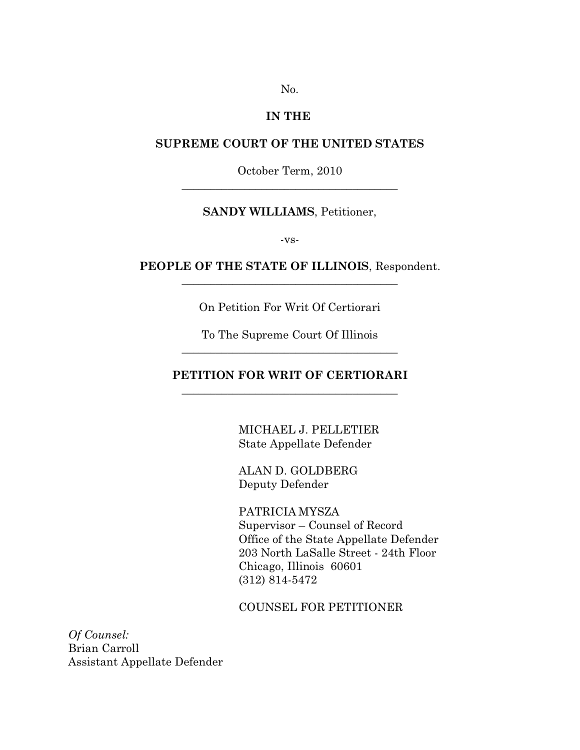No.

### **IN THE**

## **SUPREME COURT OF THE UNITED STATES**

October Term, 2010  $\frac{1}{2}$  , and the set of the set of the set of the set of the set of the set of the set of the set of the set of the set of the set of the set of the set of the set of the set of the set of the set of the set of the set

## **SANDY WILLIAMS**, Petitioner,

-vs-

### **PEOPLE OF THE STATE OF ILLINOIS**, Respondent.  $\frac{1}{2}$  , and the set of the set of the set of the set of the set of the set of the set of the set of the set of the set of the set of the set of the set of the set of the set of the set of the set of the set of the set

On Petition For Writ Of Certiorari

To The Supreme Court Of Illinois  $\frac{1}{2}$  , and the set of the set of the set of the set of the set of the set of the set of the set of the set of the set of the set of the set of the set of the set of the set of the set of the set of the set of the set

## **PETITION FOR WRIT OF CERTIORARI**  $\frac{1}{2}$  , and the set of the set of the set of the set of the set of the set of the set of the set of the set of the set of the set of the set of the set of the set of the set of the set of the set of the set of the set

MICHAEL J. PELLETIER State Appellate Defender

ALAN D. GOLDBERG Deputy Defender

PATRICIA MYSZA Supervisor – Counsel of Record Office of the State Appellate Defender 203 North LaSalle Street - 24th Floor Chicago, Illinois 60601 (312) 814-5472

COUNSEL FOR PETITIONER

*Of Counsel:* Brian Carroll Assistant Appellate Defender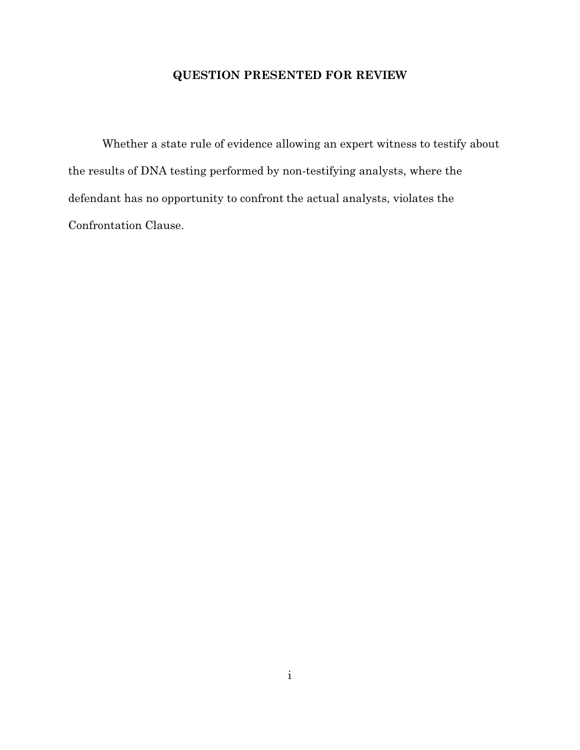## **QUESTION PRESENTED FOR REVIEW**

Whether a state rule of evidence allowing an expert witness to testify about the results of DNA testing performed by non-testifying analysts, where the defendant has no opportunity to confront the actual analysts, violates the Confrontation Clause.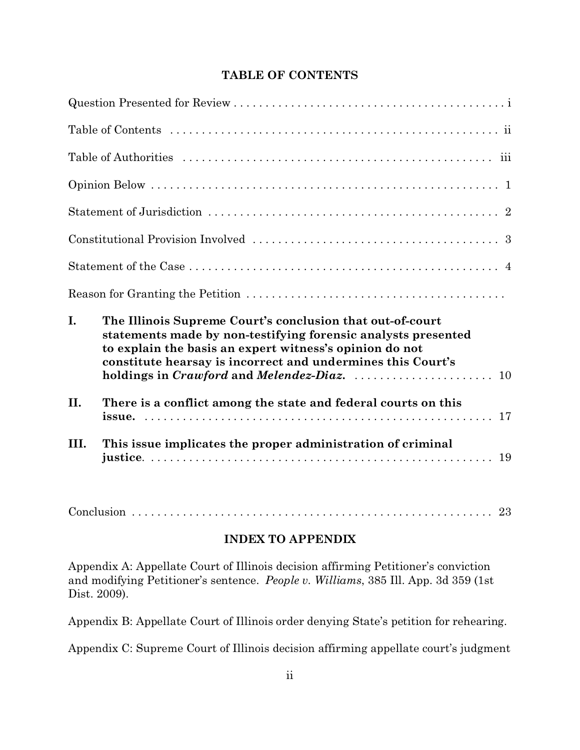## **TABLE OF CONTENTS**

| I.   | The Illinois Supreme Court's conclusion that out-of-court<br>statements made by non-testifying forensic analysts presented<br>to explain the basis an expert witness's opinion do not<br>constitute hearsay is incorrect and undermines this Court's |
|------|------------------------------------------------------------------------------------------------------------------------------------------------------------------------------------------------------------------------------------------------------|
| II.  | There is a conflict among the state and federal courts on this<br>17                                                                                                                                                                                 |
| III. | This issue implicates the proper administration of criminal                                                                                                                                                                                          |

Conclusion .............. .............. .............. .............. . 23

## **INDEX TO APPENDIX**

Appendix A: Appellate Court of Illinois decision affirming Petitioner's conviction and modifying Petitioner's sentence. *People v. Williams*, 385 Ill. App. 3d 359 (1st Dist. 2009).

Appendix B: Appellate Court of Illinois order denying State's petition for rehearing.

Appendix C: Supreme Court of Illinois decision affirming appellate court's judgment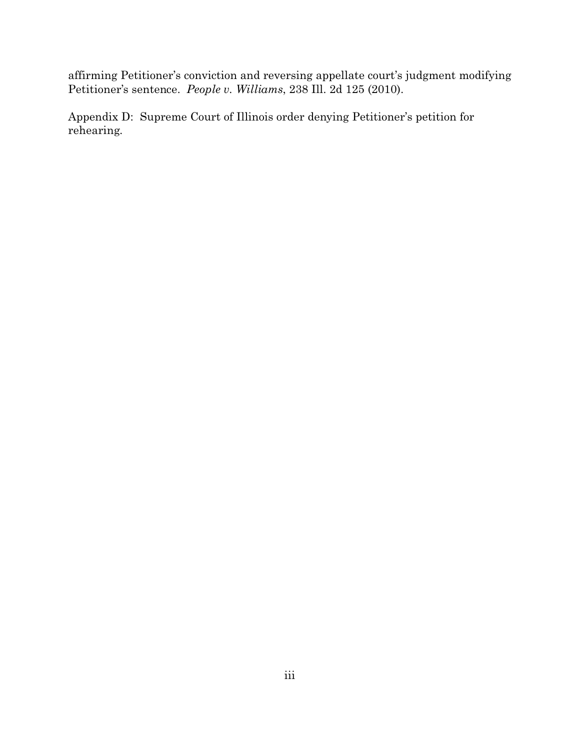affirming Petitioner's conviction and reversing appellate court's judgment modifying Petitioner's sentence. *People v. Williams*, 238 Ill. 2d 125 (2010).

Appendix D: Supreme Court of Illinois order denying Petitioner's petition for rehearing.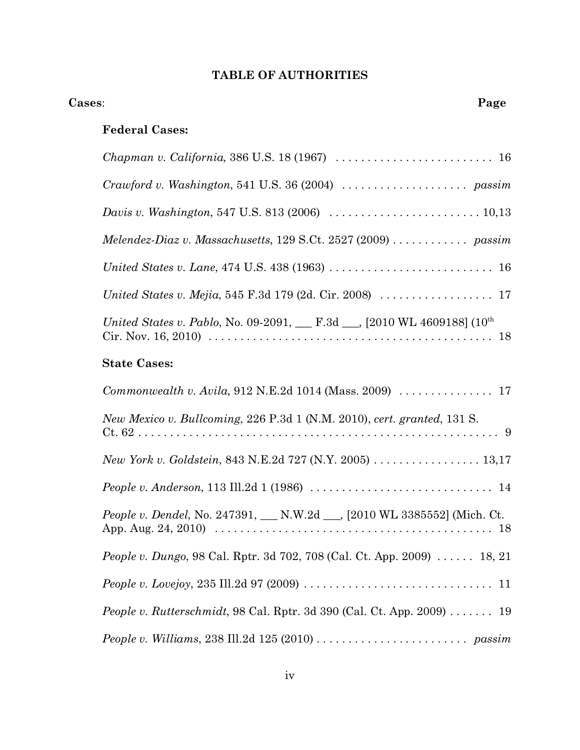# **TABLE OF AUTHORITIES**

| Cases: |                                                                                                                                  | Page |
|--------|----------------------------------------------------------------------------------------------------------------------------------|------|
|        | <b>Federal Cases:</b>                                                                                                            |      |
|        | Chapman v. California, 386 U.S. 18 (1967)  16                                                                                    |      |
|        |                                                                                                                                  |      |
|        | <i>Davis v. Washington,</i> 547 U.S. 813 (2006) $\ldots \ldots \ldots \ldots \ldots \ldots \ldots \ldots 10,13$                  |      |
|        | Melendez-Diaz v. Massachusetts, 129 S.Ct. 2527 (2009) $\dots \dots \dots$ passim                                                 |      |
|        |                                                                                                                                  |      |
|        | United States v. Mejia, 545 F.3d 179 (2d. Cir. 2008) $\ldots \ldots \ldots \ldots \ldots$ 17                                     |      |
|        | United States v. Pablo, No. 09-2091, __ F.3d __, [2010 WL 4609188] (10 <sup>th</sup>                                             |      |
|        | <b>State Cases:</b>                                                                                                              |      |
|        | Commonwealth v. Avila, 912 N.E.2d 1014 (Mass. 2009)  17                                                                          |      |
|        | New Mexico v. Bullcoming, 226 P.3d 1 (N.M. 2010), cert. granted, 131 S.                                                          |      |
|        | New York v. Goldstein, 843 N.E.2d 727 (N.Y. 2005) 13,17                                                                          |      |
|        |                                                                                                                                  |      |
|        | <i>People v. Dendel</i> , No. 247391, ___ N.W.2d ___, [2010 WL 3385552] (Mich. Ct.                                               |      |
|        | <i>People v. Dungo</i> , 98 Cal. Rptr. 3d 702, 708 (Cal. Ct. App. 2009)  18, 21                                                  |      |
|        | <i>People v. Lovejoy,</i> 235 Ill.2d 97 (2009) $\ldots \ldots \ldots \ldots \ldots \ldots \ldots \ldots \ldots \ldots \ldots 11$ |      |
|        | <i>People v. Rutterschmidt,</i> 98 Cal. Rptr. 3d 390 (Cal. Ct. App. 2009) $\dots \dots$ 19                                       |      |
|        | People v. Williams, 238 Ill.2d 125 (2010) $\ldots \ldots \ldots \ldots \ldots \ldots$ passim                                     |      |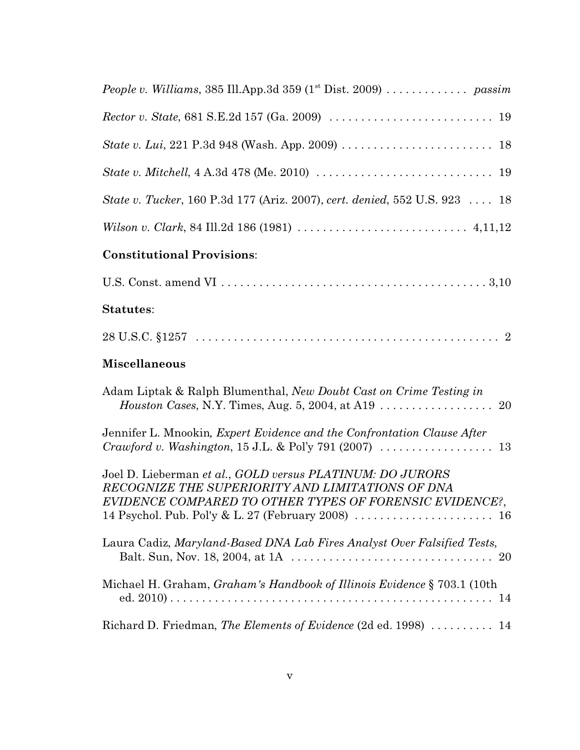| State v. Mitchell, $4 A.3d 478$ (Me. 2010) $\ldots \ldots \ldots \ldots \ldots \ldots \ldots \ldots \ldots \ldots$ 19                                                    |
|--------------------------------------------------------------------------------------------------------------------------------------------------------------------------|
| State v. Tucker, 160 P.3d 177 (Ariz. 2007), cert. denied, 552 U.S. 923  18                                                                                               |
|                                                                                                                                                                          |
| <b>Constitutional Provisions:</b>                                                                                                                                        |
|                                                                                                                                                                          |
| <b>Statutes:</b>                                                                                                                                                         |
|                                                                                                                                                                          |
| <b>Miscellaneous</b>                                                                                                                                                     |
| Adam Liptak & Ralph Blumenthal, New Doubt Cast on Crime Testing in                                                                                                       |
| Jennifer L. Mnookin, Expert Evidence and the Confrontation Clause After                                                                                                  |
| Joel D. Lieberman et al., GOLD versus PLATINUM: DO JURORS<br>RECOGNIZE THE SUPERIORITY AND LIMITATIONS OF DNA<br>EVIDENCE COMPARED TO OTHER TYPES OF FORENSIC EVIDENCE?, |
| Laura Cadiz, Maryland-Based DNA Lab Fires Analyst Over Falsified Tests,<br>20                                                                                            |
| Michael H. Graham, Graham's Handbook of Illinois Evidence § 703.1 (10th                                                                                                  |
| Richard D. Friedman, The Elements of Evidence (2d ed. 1998)  14                                                                                                          |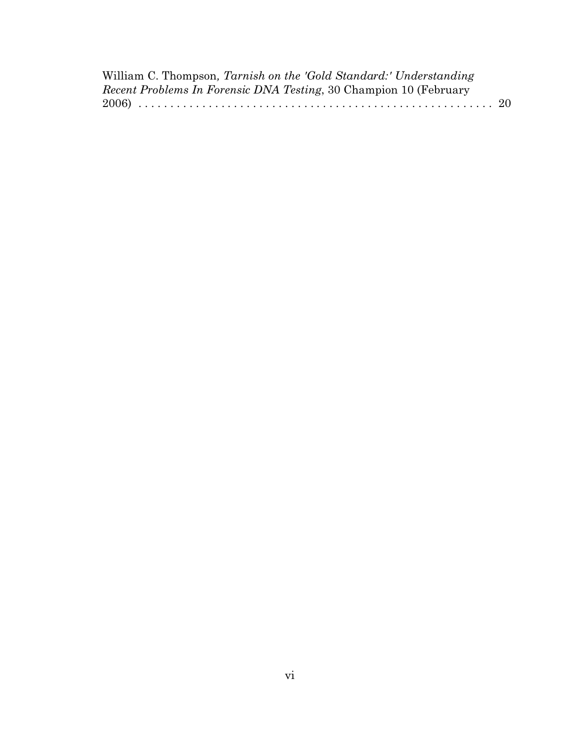| William C. Thompson, Tarnish on the 'Gold Standard:' Understanding       |  |
|--------------------------------------------------------------------------|--|
| <i>Recent Problems In Forensic DNA Testing, 30 Champion 10 (February</i> |  |
|                                                                          |  |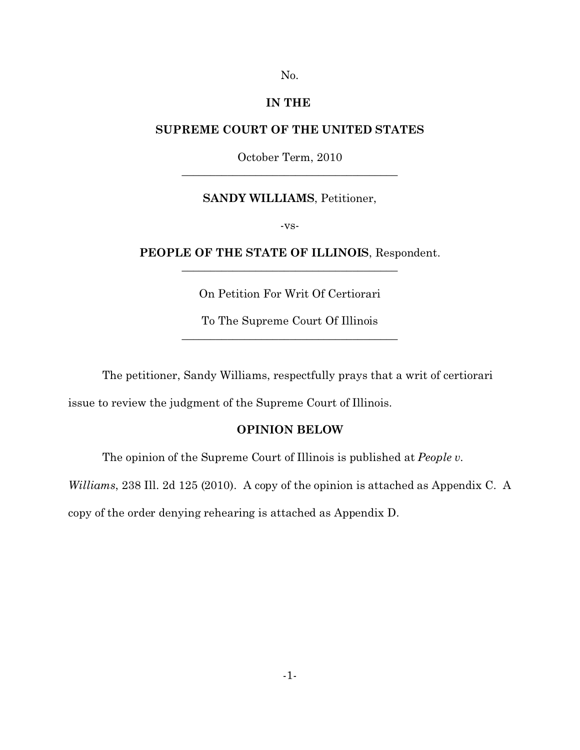No.

## **IN THE**

### **SUPREME COURT OF THE UNITED STATES**

October Term, 2010  $\overline{\phantom{a}}$  , where  $\overline{\phantom{a}}$  , where  $\overline{\phantom{a}}$  , where  $\overline{\phantom{a}}$  ,  $\overline{\phantom{a}}$  ,  $\overline{\phantom{a}}$  ,  $\overline{\phantom{a}}$  ,  $\overline{\phantom{a}}$  ,  $\overline{\phantom{a}}$  ,  $\overline{\phantom{a}}$  ,  $\overline{\phantom{a}}$  ,  $\overline{\phantom{a}}$  ,  $\overline{\phantom{a}}$  ,  $\overline{\phantom{a}}$  ,  $\overline{\phantom$ 

#### **SANDY WILLIAMS**, Petitioner,

-vs-

## **PEOPLE OF THE STATE OF ILLINOIS**, Respondent.  $\frac{1}{2}$  , and the set of the set of the set of the set of the set of the set of the set of the set of the set of the set of the set of the set of the set of the set of the set of the set of the set of the set of the set

On Petition For Writ Of Certiorari

To The Supreme Court Of Illinois  $\frac{1}{2}$  , and the set of the set of the set of the set of the set of the set of the set of the set of the set of the set of the set of the set of the set of the set of the set of the set of the set of the set of the set

The petitioner, Sandy Williams, respectfully prays that a writ of certiorari

issue to review the judgment of the Supreme Court of Illinois.

### **OPINION BELOW**

The opinion of the Supreme Court of Illinois is published at *People v.*

*Williams*, 238 Ill. 2d 125 (2010). A copy of the opinion is attached as Appendix C. A

copy of the order denying rehearing is attached as Appendix D.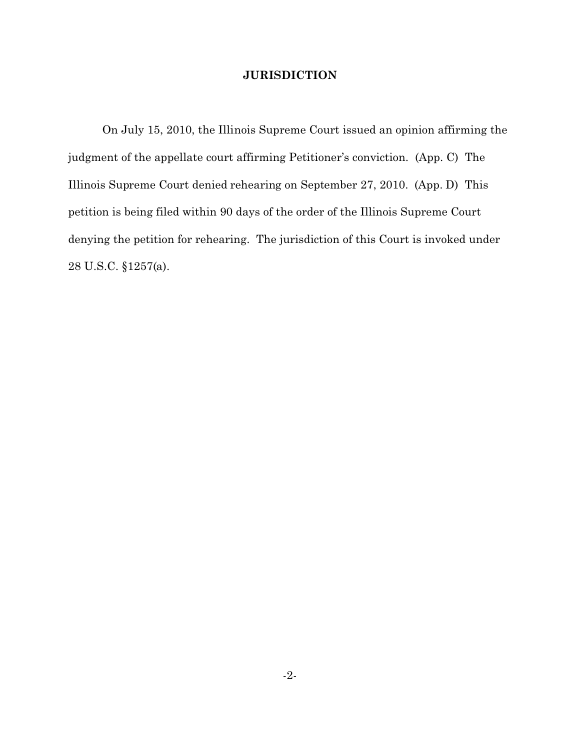## **JURISDICTION**

On July 15, 2010, the Illinois Supreme Court issued an opinion affirming the judgment of the appellate court affirming Petitioner's conviction. (App. C) The Illinois Supreme Court denied rehearing on September 27, 2010. (App. D) This petition is being filed within 90 days of the order of the Illinois Supreme Court denying the petition for rehearing. The jurisdiction of this Court is invoked under 28 U.S.C. §1257(a).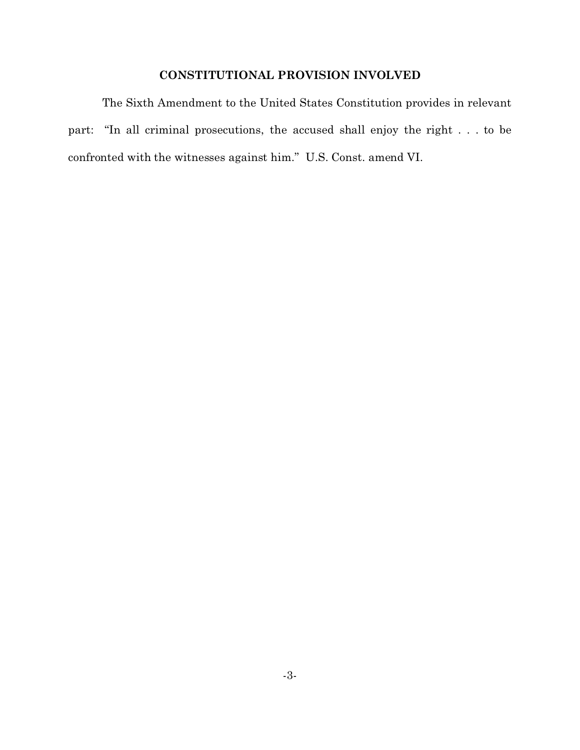## **CONSTITUTIONAL PROVISION INVOLVED**

The Sixth Amendment to the United States Constitution provides in relevant part: "In all criminal prosecutions, the accused shall enjoy the right . . . to be confronted with the witnesses against him." U.S. Const. amend VI.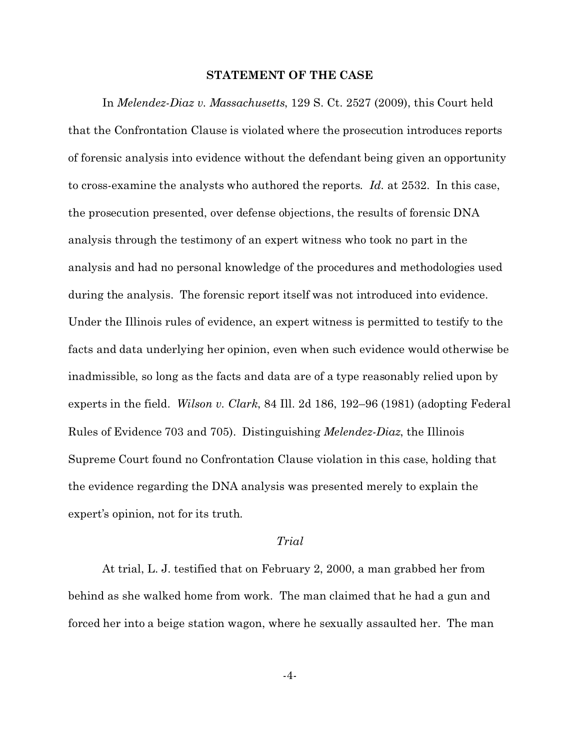#### **STATEMENT OF THE CASE**

In *Melendez-Diaz v. Massachusetts*, 129 S. Ct. 2527 (2009), this Court held that the Confrontation Clause is violated where the prosecution introduces reports of forensic analysis into evidence without the defendant being given an opportunity to cross-examine the analysts who authored the reports. *Id.* at 2532. In this case, the prosecution presented, over defense objections, the results of forensic DNA analysis through the testimony of an expert witness who took no part in the analysis and had no personal knowledge of the procedures and methodologies used during the analysis. The forensic report itself was not introduced into evidence. Under the Illinois rules of evidence, an expert witness is permitted to testify to the facts and data underlying her opinion, even when such evidence would otherwise be inadmissible, so long as the facts and data are of a type reasonably relied upon by experts in the field. *Wilson v. Clark*, 84 Ill. 2d 186, 192–96 (1981) (adopting Federal Rules of Evidence 703 and 705). Distinguishing *Melendez-Diaz*, the Illinois Supreme Court found no Confrontation Clause violation in this case, holding that the evidence regarding the DNA analysis was presented merely to explain the expert's opinion, not for its truth.

### *Trial*

At trial, L. J. testified that on February 2, 2000, a man grabbed her from behind as she walked home from work. The man claimed that he had a gun and forced her into a beige station wagon, where he sexually assaulted her. The man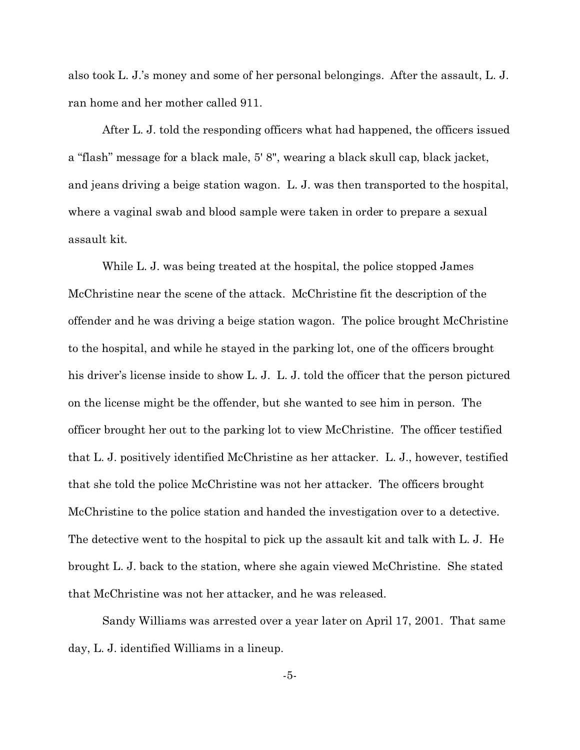also took L. J.'s money and some of her personal belongings. After the assault, L. J. ran home and her mother called 911.

After L. J. told the responding officers what had happened, the officers issued a "flash" message for a black male, 5' 8", wearing a black skull cap, black jacket, and jeans driving a beige station wagon. L. J. was then transported to the hospital, where a vaginal swab and blood sample were taken in order to prepare a sexual assault kit.

While L. J. was being treated at the hospital, the police stopped James McChristine near the scene of the attack. McChristine fit the description of the offender and he was driving a beige station wagon. The police brought McChristine to the hospital, and while he stayed in the parking lot, one of the officers brought his driver's license inside to show L. J. L. J. told the officer that the person pictured on the license might be the offender, but she wanted to see him in person. The officer brought her out to the parking lot to view McChristine. The officer testified that L. J. positively identified McChristine as her attacker. L. J., however, testified that she told the police McChristine was not her attacker. The officers brought McChristine to the police station and handed the investigation over to a detective. The detective went to the hospital to pick up the assault kit and talk with L. J. He brought L. J. back to the station, where she again viewed McChristine. She stated that McChristine was not her attacker, and he was released.

Sandy Williams was arrested over a year later on April 17, 2001. That same day, L. J. identified Williams in a lineup.

-5-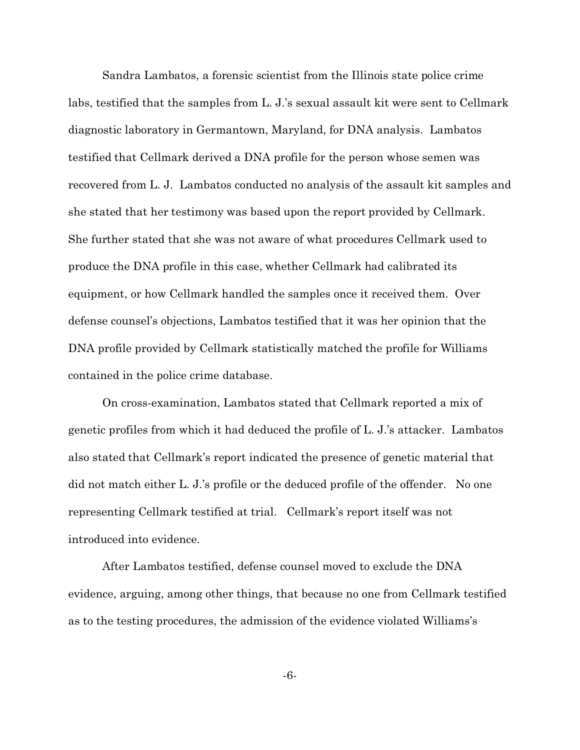Sandra Lambatos, a forensic scientist from the Illinois state police crime labs, testified that the samples from L. J.'s sexual assault kit were sent to Cellmark diagnostic laboratory in Germantown, Maryland, for DNA analysis. Lambatos testified that Cellmark derived a DNA profile for the person whose semen was recovered from L. J. Lambatos conducted no analysis of the assault kit samples and she stated that her testimony was based upon the report provided by Cellmark. She further stated that she was not aware of what procedures Cellmark used to produce the DNA profile in this case, whether Cellmark had calibrated its equipment, or how Cellmark handled the samples once it received them. Over defense counsel's objections, Lambatos testified that it was her opinion that the DNA profile provided by Cellmark statistically matched the profile for Williams contained in the police crime database.

On cross-examination, Lambatos stated that Cellmark reported a mix of genetic profiles from which it had deduced the profile of L. J.'s attacker. Lambatos also stated that Cellmark's report indicated the presence of genetic material that did not match either L. J.'s profile or the deduced profile of the offender. No one representing Cellmark testified at trial. Cellmark's report itself was not introduced into evidence.

After Lambatos testified, defense counsel moved to exclude the DNA evidence, arguing, among other things, that because no one from Cellmark testified as to the testing procedures, the admission of the evidence violated Williams's

-6-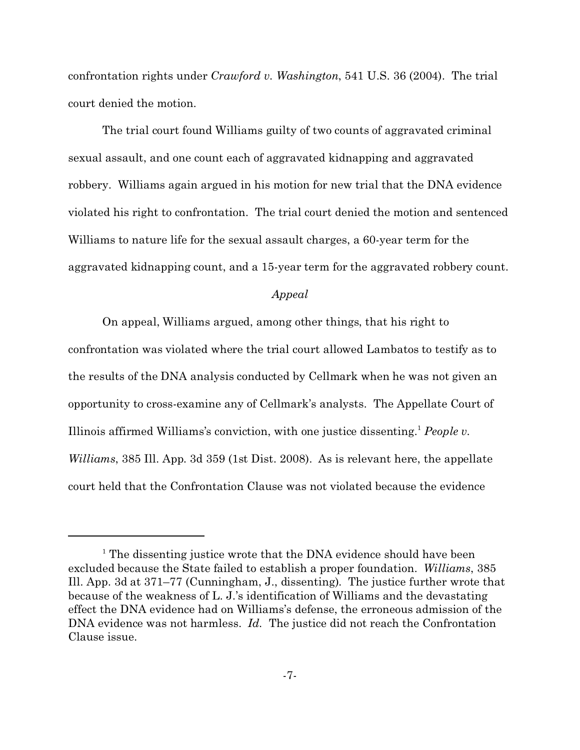confrontation rights under *Crawford v. Washington*, 541 U.S. 36 (2004). The trial court denied the motion.

The trial court found Williams guilty of two counts of aggravated criminal sexual assault, and one count each of aggravated kidnapping and aggravated robbery. Williams again argued in his motion for new trial that the DNA evidence violated his right to confrontation. The trial court denied the motion and sentenced Williams to nature life for the sexual assault charges, a 60-year term for the aggravated kidnapping count, and a 15-year term for the aggravated robbery count.

#### *Appeal*

On appeal, Williams argued, among other things, that his right to confrontation was violated where the trial court allowed Lambatos to testify as to the results of the DNA analysis conducted by Cellmark when he was not given an opportunity to cross-examine any of Cellmark's analysts. The Appellate Court of Illinois affirmed Williams's conviction, with one justice dissenting.<sup>1</sup> *People v. Williams*, 385 Ill. App. 3d 359 (1st Dist. 2008). As is relevant here, the appellate court held that the Confrontation Clause was not violated because the evidence

<sup>&</sup>lt;sup>1</sup> The dissenting justice wrote that the DNA evidence should have been excluded because the State failed to establish a proper foundation. *Williams*, 385 Ill. App. 3d at 371–77 (Cunningham, J., dissenting). The justice further wrote that because of the weakness of L. J.'s identification of Williams and the devastating effect the DNA evidence had on Williams's defense, the erroneous admission of the DNA evidence was not harmless. *Id.* The justice did not reach the Confrontation Clause issue.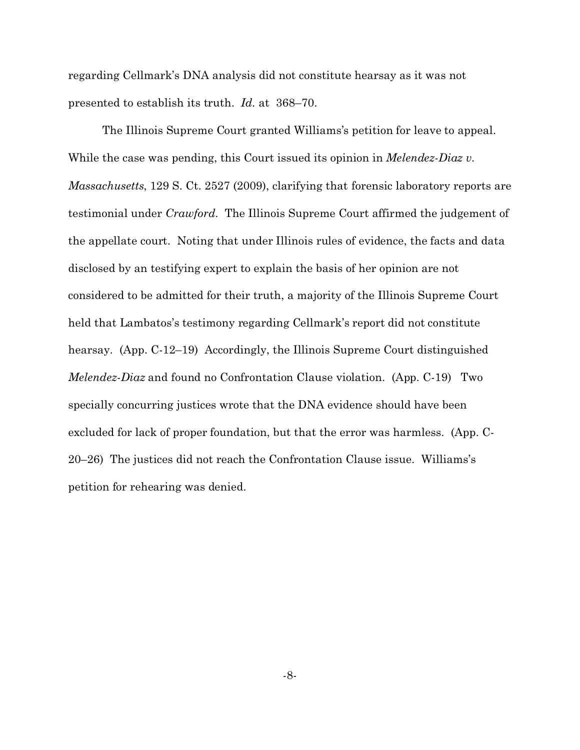regarding Cellmark's DNA analysis did not constitute hearsay as it was not presented to establish its truth. *Id.* at 368–70.

The Illinois Supreme Court granted Williams's petition for leave to appeal. While the case was pending, this Court issued its opinion in *Melendez-Diaz v. Massachusetts*, 129 S. Ct. 2527 (2009), clarifying that forensic laboratory reports are testimonial under *Crawford*. The Illinois Supreme Court affirmed the judgement of the appellate court. Noting that under Illinois rules of evidence, the facts and data disclosed by an testifying expert to explain the basis of her opinion are not considered to be admitted for their truth, a majority of the Illinois Supreme Court held that Lambatos's testimony regarding Cellmark's report did not constitute hearsay. (App. C-12–19) Accordingly, the Illinois Supreme Court distinguished *Melendez-Diaz* and found no Confrontation Clause violation. (App. C-19) Two specially concurring justices wrote that the DNA evidence should have been excluded for lack of proper foundation, but that the error was harmless. (App. C-20–26) The justices did not reach the Confrontation Clause issue. Williams's petition for rehearing was denied.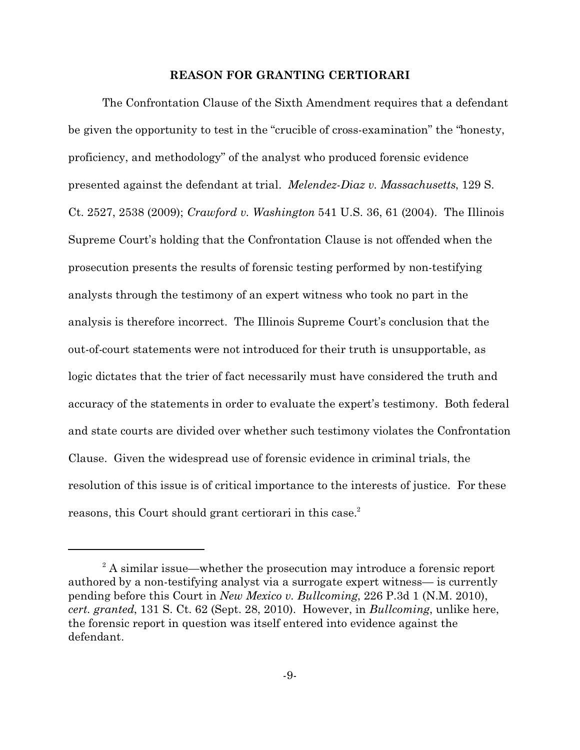### **REASON FOR GRANTING CERTIORARI**

The Confrontation Clause of the Sixth Amendment requires that a defendant be given the opportunity to test in the "crucible of cross-examination" the "honesty, proficiency, and methodology" of the analyst who produced forensic evidence presented against the defendant at trial. *Melendez-Diaz v. Massachusetts*, 129 S. Ct. 2527, 2538 (2009); *Crawford v. Washington* 541 U.S. 36, 61 (2004). The Illinois Supreme Court's holding that the Confrontation Clause is not offended when the prosecution presents the results of forensic testing performed by non-testifying analysts through the testimony of an expert witness who took no part in the analysis is therefore incorrect. The Illinois Supreme Court's conclusion that the out-of-court statements were not introduced for their truth is unsupportable, as logic dictates that the trier of fact necessarily must have considered the truth and accuracy of the statements in order to evaluate the expert's testimony. Both federal and state courts are divided over whether such testimony violates the Confrontation Clause. Given the widespread use of forensic evidence in criminal trials, the resolution of this issue is of critical importance to the interests of justice. For these reasons, this Court should grant certiorari in this case.<sup>2</sup>

<sup>&</sup>lt;sup>2</sup> A similar issue—whether the prosecution may introduce a forensic report authored by a non-testifying analyst via a surrogate expert witness— is currently pending before this Court in *New Mexico v. Bullcoming*, 226 P.3d 1 (N.M. 2010), *cert. granted*, 131 S. Ct. 62 (Sept. 28, 2010). However, in *Bullcoming*, unlike here, the forensic report in question was itself entered into evidence against the defendant.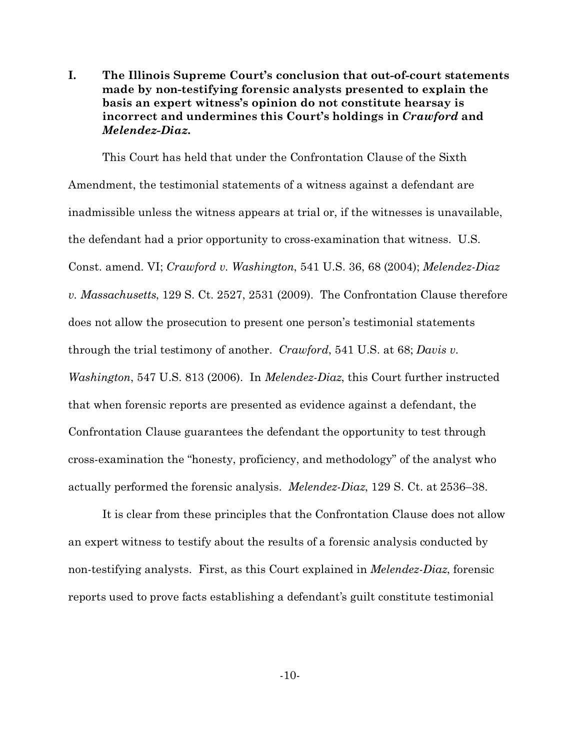**I. The Illinois Supreme Court's conclusion that out-of-court statements made by non-testifying forensic analysts presented to explain the basis an expert witness's opinion do not constitute hearsay is incorrect and undermines this Court's holdings in** *Crawford* **and** *Melendez-Diaz***.**

This Court has held that under the Confrontation Clause of the Sixth Amendment, the testimonial statements of a witness against a defendant are inadmissible unless the witness appears at trial or, if the witnesses is unavailable, the defendant had a prior opportunity to cross-examination that witness. U.S. Const. amend. VI; *Crawford v. Washington*, 541 U.S. 36, 68 (2004); *Melendez-Diaz v. Massachusetts*, 129 S. Ct. 2527, 2531 (2009). The Confrontation Clause therefore does not allow the prosecution to present one person's testimonial statements through the trial testimony of another. *Crawford*, 541 U.S. at 68; *Davis v. Washington*, 547 U.S. 813 (2006). In *Melendez-Diaz*, this Court further instructed that when forensic reports are presented as evidence against a defendant, the Confrontation Clause guarantees the defendant the opportunity to test through cross-examination the "honesty, proficiency, and methodology" of the analyst who actually performed the forensic analysis. *Melendez-Diaz*, 129 S. Ct. at 2536–38.

It is clear from these principles that the Confrontation Clause does not allow an expert witness to testify about the results of a forensic analysis conducted by non-testifying analysts. First, as this Court explained in *Melendez-Diaz*, forensic reports used to prove facts establishing a defendant's guilt constitute testimonial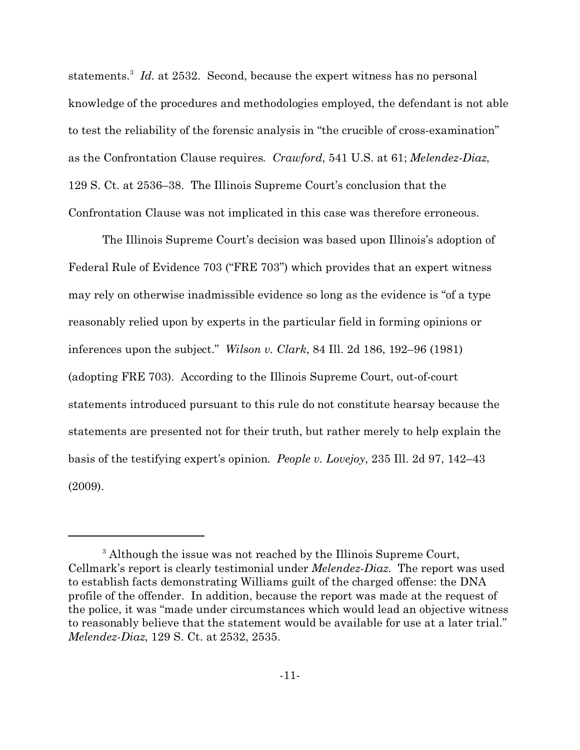statements.<sup>3</sup> Id. at 2532. Second, because the expert witness has no personal knowledge of the procedures and methodologies employed, the defendant is not able to test the reliability of the forensic analysis in "the crucible of cross-examination" as the Confrontation Clause requires. *Crawford*, 541 U.S. at 61; *Melendez-Diaz*, 129 S. Ct. at 2536–38. The Illinois Supreme Court's conclusion that the Confrontation Clause was not implicated in this case was therefore erroneous.

The Illinois Supreme Court's decision was based upon Illinois's adoption of Federal Rule of Evidence 703 ("FRE 703") which provides that an expert witness may rely on otherwise inadmissible evidence so long as the evidence is "of a type reasonably relied upon by experts in the particular field in forming opinions or inferences upon the subject." *Wilson v. Clark*, 84 Ill. 2d 186, 192–96 (1981) (adopting FRE 703). According to the Illinois Supreme Court, out-of-court statements introduced pursuant to this rule do not constitute hearsay because the statements are presented not for their truth, but rather merely to help explain the basis of the testifying expert's opinion. *People v. Lovejoy*, 235 Ill. 2d 97, 142–43 (2009).

<sup>&</sup>lt;sup>3</sup> Although the issue was not reached by the Illinois Supreme Court, Cellmark's report is clearly testimonial under *Melendez-Diaz*. The report was used to establish facts demonstrating Williams guilt of the charged offense: the DNA profile of the offender. In addition, because the report was made at the request of the police, it was "made under circumstances which would lead an objective witness to reasonably believe that the statement would be available for use at a later trial." *Melendez-Diaz*, 129 S. Ct. at 2532, 2535.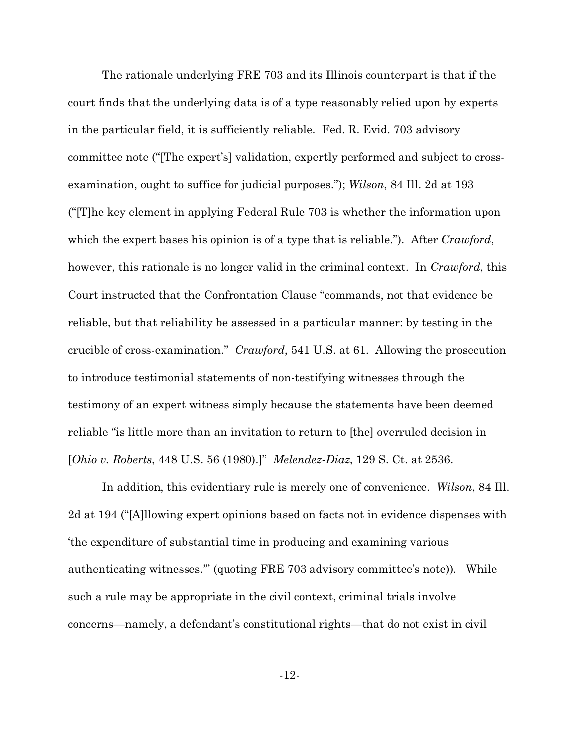The rationale underlying FRE 703 and its Illinois counterpart is that if the court finds that the underlying data is of a type reasonably relied upon by experts in the particular field, it is sufficiently reliable. Fed. R. Evid. 703 advisory committee note ("[The expert's] validation, expertly performed and subject to crossexamination, ought to suffice for judicial purposes."); *Wilson*, 84 Ill. 2d at 193 ("[T]he key element in applying Federal Rule 703 is whether the information upon which the expert bases his opinion is of a type that is reliable."). After *Crawford*, however, this rationale is no longer valid in the criminal context. In *Crawford*, this Court instructed that the Confrontation Clause "commands, not that evidence be reliable, but that reliability be assessed in a particular manner: by testing in the crucible of cross-examination." *Crawford*, 541 U.S. at 61. Allowing the prosecution to introduce testimonial statements of non-testifying witnesses through the testimony of an expert witness simply because the statements have been deemed reliable "is little more than an invitation to return to [the] overruled decision in [*Ohio v. Roberts*, 448 U.S. 56 (1980).]" *Melendez-Diaz*, 129 S. Ct. at 2536.

In addition, this evidentiary rule is merely one of convenience. *Wilson*, 84 Ill. 2d at 194 ("[A]llowing expert opinions based on facts not in evidence dispenses with 'the expenditure of substantial time in producing and examining various authenticating witnesses.'" (quoting FRE 703 advisory committee's note)). While such a rule may be appropriate in the civil context, criminal trials involve concerns—namely, a defendant's constitutional rights—that do not exist in civil

-12-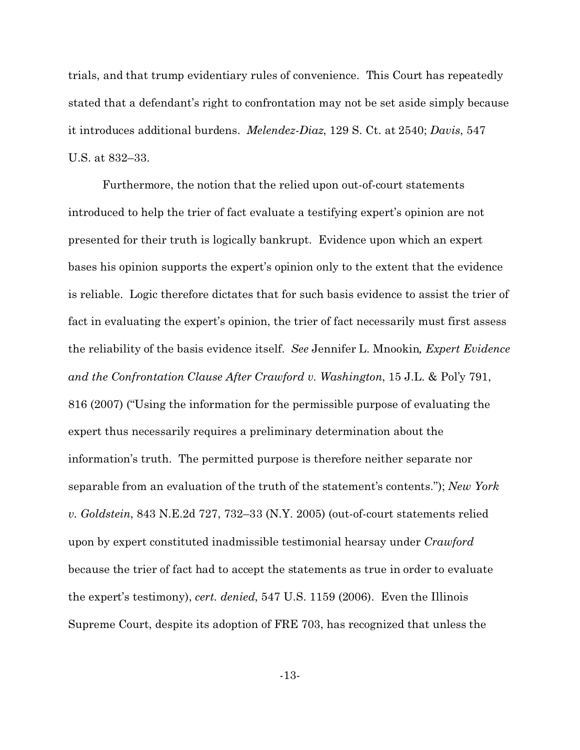trials, and that trump evidentiary rules of convenience. This Court has repeatedly stated that a defendant's right to confrontation may not be set aside simply because it introduces additional burdens. *Melendez-Diaz*, 129 S. Ct. at 2540; *Davis*, 547 U.S. at 832–33.

Furthermore, the notion that the relied upon out-of-court statements introduced to help the trier of fact evaluate a testifying expert's opinion are not presented for their truth is logically bankrupt. Evidence upon which an expert bases his opinion supports the expert's opinion only to the extent that the evidence is reliable. Logic therefore dictates that for such basis evidence to assist the trier of fact in evaluating the expert's opinion, the trier of fact necessarily must first assess the reliability of the basis evidence itself. *See* Jennifer L. Mnookin*, Expert Evidence and the Confrontation Clause After Crawford v. Washington*, 15 J.L. & Pol'y 791, 816 (2007) ("Using the information for the permissible purpose of evaluating the expert thus necessarily requires a preliminary determination about the information's truth. The permitted purpose is therefore neither separate nor separable from an evaluation of the truth of the statement's contents."); *New York v. Goldstein*, 843 N.E.2d 727, 732–33 (N.Y. 2005) (out-of-court statements relied upon by expert constituted inadmissible testimonial hearsay under *Crawford* because the trier of fact had to accept the statements as true in order to evaluate the expert's testimony), *cert. denied*, 547 U.S. 1159 (2006). Even the Illinois Supreme Court, despite its adoption of FRE 703, has recognized that unless the

-13-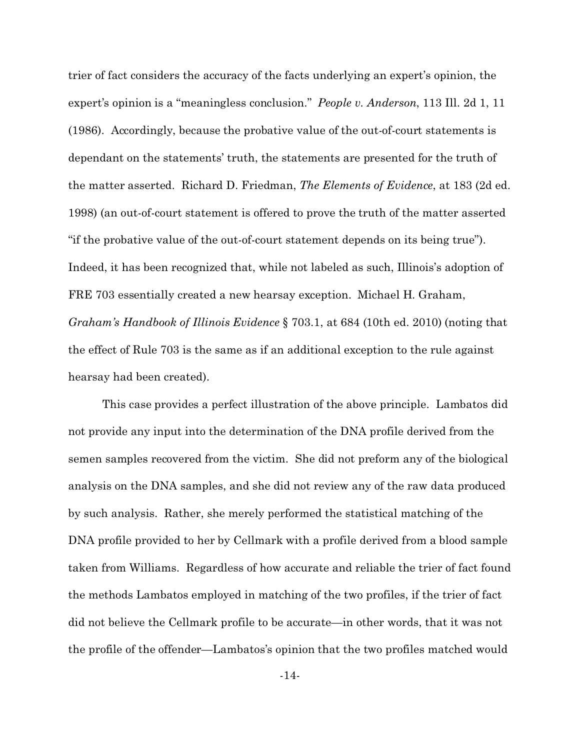trier of fact considers the accuracy of the facts underlying an expert's opinion, the expert's opinion is a "meaningless conclusion." *People v. Anderson*, 113 Ill. 2d 1, 11 (1986). Accordingly, because the probative value of the out-of-court statements is dependant on the statements' truth, the statements are presented for the truth of the matter asserted. Richard D. Friedman, *The Elements of Evidence*, at 183 (2d ed. 1998) (an out-of-court statement is offered to prove the truth of the matter asserted "if the probative value of the out-of-court statement depends on its being true"). Indeed, it has been recognized that, while not labeled as such, Illinois's adoption of FRE 703 essentially created a new hearsay exception. Michael H. Graham, *Graham's Handbook of Illinois Evidence* § 703.1, at 684 (10th ed. 2010) (noting that the effect of Rule 703 is the same as if an additional exception to the rule against hearsay had been created).

This case provides a perfect illustration of the above principle. Lambatos did not provide any input into the determination of the DNA profile derived from the semen samples recovered from the victim. She did not preform any of the biological analysis on the DNA samples, and she did not review any of the raw data produced by such analysis. Rather, she merely performed the statistical matching of the DNA profile provided to her by Cellmark with a profile derived from a blood sample taken from Williams. Regardless of how accurate and reliable the trier of fact found the methods Lambatos employed in matching of the two profiles, if the trier of fact did not believe the Cellmark profile to be accurate—in other words, that it was not the profile of the offender—Lambatos's opinion that the two profiles matched would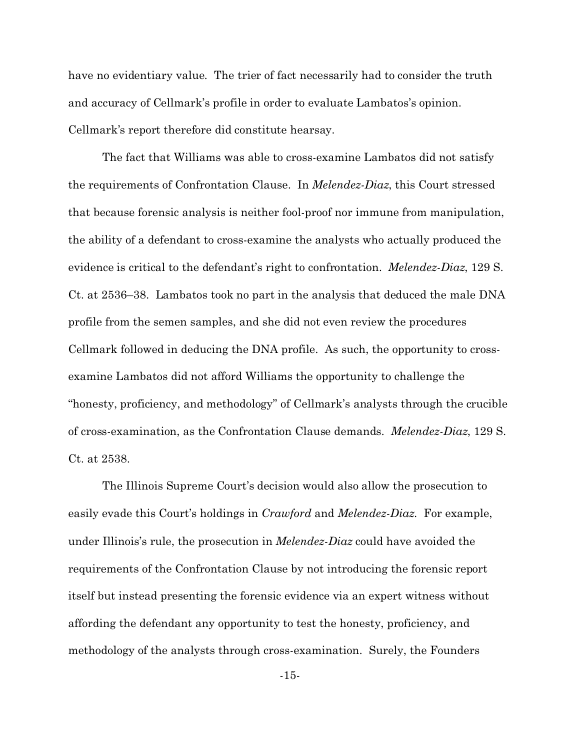have no evidentiary value. The trier of fact necessarily had to consider the truth and accuracy of Cellmark's profile in order to evaluate Lambatos's opinion. Cellmark's report therefore did constitute hearsay.

The fact that Williams was able to cross-examine Lambatos did not satisfy the requirements of Confrontation Clause. In *Melendez-Diaz*, this Court stressed that because forensic analysis is neither fool-proof nor immune from manipulation, the ability of a defendant to cross-examine the analysts who actually produced the evidence is critical to the defendant's right to confrontation. *Melendez-Diaz*, 129 S. Ct. at 2536–38. Lambatos took no part in the analysis that deduced the male DNA profile from the semen samples, and she did not even review the procedures Cellmark followed in deducing the DNA profile. As such, the opportunity to crossexamine Lambatos did not afford Williams the opportunity to challenge the "honesty, proficiency, and methodology" of Cellmark's analysts through the crucible of cross-examination, as the Confrontation Clause demands. *Melendez-Diaz*, 129 S. Ct. at 2538.

The Illinois Supreme Court's decision would also allow the prosecution to easily evade this Court's holdings in *Crawford* and *Melendez-Diaz*. For example, under Illinois's rule, the prosecution in *Melendez-Diaz* could have avoided the requirements of the Confrontation Clause by not introducing the forensic report itself but instead presenting the forensic evidence via an expert witness without affording the defendant any opportunity to test the honesty, proficiency, and methodology of the analysts through cross-examination. Surely, the Founders

-15-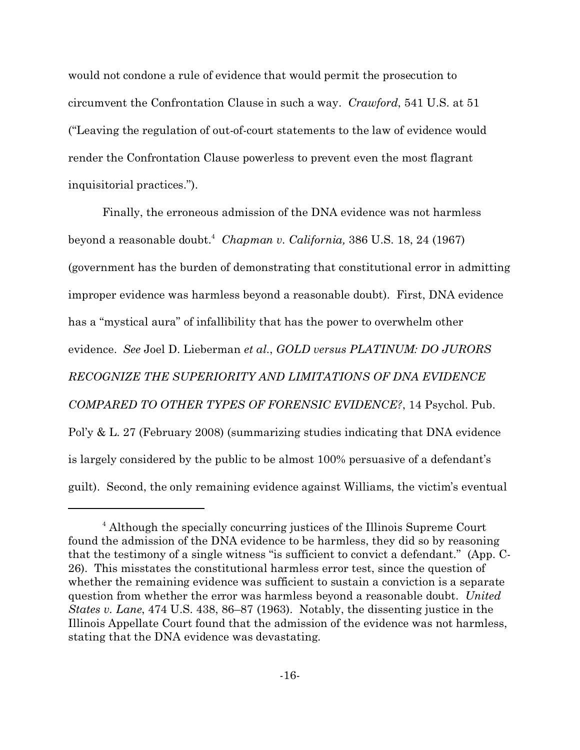would not condone a rule of evidence that would permit the prosecution to circumvent the Confrontation Clause in such a way. *Crawford*, 541 U.S. at 51 ("Leaving the regulation of out-of-court statements to the law of evidence would render the Confrontation Clause powerless to prevent even the most flagrant inquisitorial practices.").

Finally, the erroneous admission of the DNA evidence was not harmless beyond a reasonable doubt.<sup>4</sup> *Chapman v. California,* 386 U.S. 18, 24 (1967) (government has the burden of demonstrating that constitutional error in admitting improper evidence was harmless beyond a reasonable doubt). First, DNA evidence has a "mystical aura" of infallibility that has the power to overwhelm other evidence. *See* Joel D. Lieberman *et al.*, *GOLD versus PLATINUM: DO JURORS RECOGNIZE THE SUPERIORITY AND LIMITATIONS OF DNA EVIDENCE COMPARED TO OTHER TYPES OF FORENSIC EVIDENCE?*, 14 Psychol. Pub. Pol'y & L. 27 (February 2008) (summarizing studies indicating that DNA evidence is largely considered by the public to be almost 100% persuasive of a defendant's guilt). Second, the only remaining evidence against Williams, the victim's eventual

<sup>&</sup>lt;sup>4</sup> Although the specially concurring justices of the Illinois Supreme Court found the admission of the DNA evidence to be harmless, they did so by reasoning that the testimony of a single witness "is sufficient to convict a defendant." (App. C-26). This misstates the constitutional harmless error test, since the question of whether the remaining evidence was sufficient to sustain a conviction is a separate question from whether the error was harmless beyond a reasonable doubt. *United States v. Lane*, 474 U.S. 438, 86–87 (1963). Notably, the dissenting justice in the Illinois Appellate Court found that the admission of the evidence was not harmless, stating that the DNA evidence was devastating.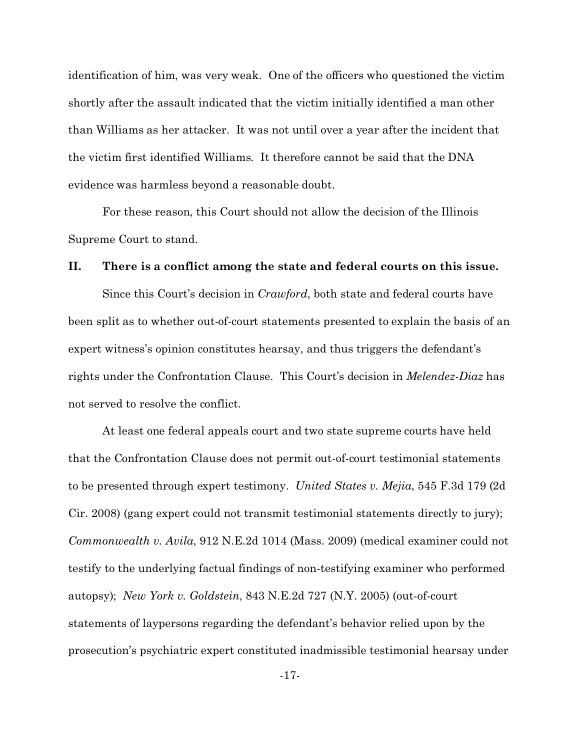identification of him, was very weak. One of the officers who questioned the victim shortly after the assault indicated that the victim initially identified a man other than Williams as her attacker. It was not until over a year after the incident that the victim first identified Williams. It therefore cannot be said that the DNA evidence was harmless beyond a reasonable doubt.

For these reason, this Court should not allow the decision of the Illinois Supreme Court to stand.

## **II. There is a conflict among the state and federal courts on this issue.**

Since this Court's decision in *Crawford*, both state and federal courts have been split as to whether out-of-court statements presented to explain the basis of an expert witness's opinion constitutes hearsay, and thus triggers the defendant's rights under the Confrontation Clause. This Court's decision in *Melendez-Diaz* has not served to resolve the conflict.

At least one federal appeals court and two state supreme courts have held that the Confrontation Clause does not permit out-of-court testimonial statements to be presented through expert testimony. *United States v. Mejia*, 545 F.3d 179 (2d Cir. 2008) (gang expert could not transmit testimonial statements directly to jury); *Commonwealth v. Avila*, 912 N.E.2d 1014 (Mass. 2009) (medical examiner could not testify to the underlying factual findings of non-testifying examiner who performed autopsy); *New York v. Goldstein*, 843 N.E.2d 727 (N.Y. 2005) (out-of-court statements of laypersons regarding the defendant's behavior relied upon by the prosecution's psychiatric expert constituted inadmissible testimonial hearsay under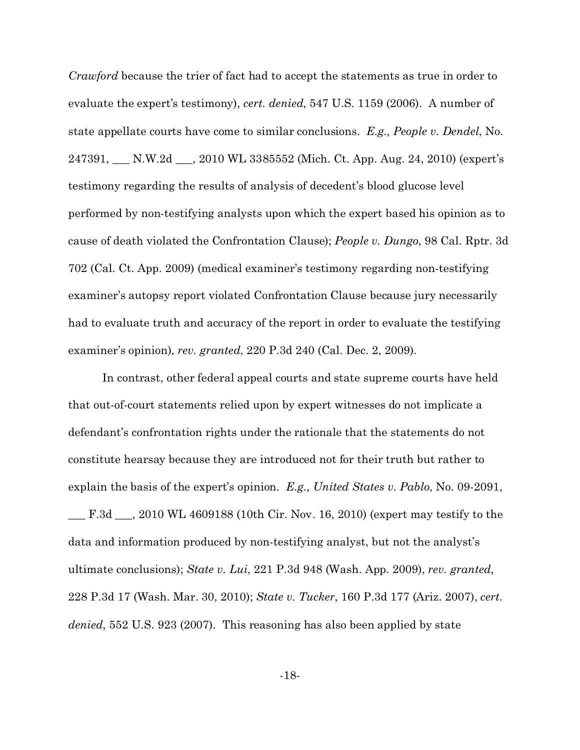*Crawford* because the trier of fact had to accept the statements as true in order to evaluate the expert's testimony), *cert. denied*, 547 U.S. 1159 (2006). A number of state appellate courts have come to similar conclusions. *E.g., People v. Dendel*, No. 247391, \_\_\_ N.W.2d \_\_\_, 2010 WL 3385552 (Mich. Ct. App. Aug. 24, 2010) (expert's testimony regarding the results of analysis of decedent's blood glucose level performed by non-testifying analysts upon which the expert based his opinion as to cause of death violated the Confrontation Clause); *People v. Dungo*, 98 Cal. Rptr. 3d 702 (Cal. Ct. App. 2009) (medical examiner's testimony regarding non-testifying examiner's autopsy report violated Confrontation Clause because jury necessarily had to evaluate truth and accuracy of the report in order to evaluate the testifying examiner's opinion), *rev. granted*, 220 P.3d 240 (Cal. Dec. 2, 2009).

In contrast, other federal appeal courts and state supreme courts have held that out-of-court statements relied upon by expert witnesses do not implicate a defendant's confrontation rights under the rationale that the statements do not constitute hearsay because they are introduced not for their truth but rather to explain the basis of the expert's opinion. *E.g., United States v. Pablo*, No. 09-2091, \_\_\_ F.3d \_\_\_, 2010 WL 4609188 (10th Cir. Nov. 16, 2010) (expert may testify to the data and information produced by non-testifying analyst, but not the analyst's ultimate conclusions); *State v. Lui*, 221 P.3d 948 (Wash. App. 2009), *rev. granted*, 228 P.3d 17 (Wash. Mar. 30, 2010); *State v. Tucker*, 160 P.3d 177 (Ariz. 2007), *cert. denied*, 552 U.S. 923 (2007). This reasoning has also been applied by state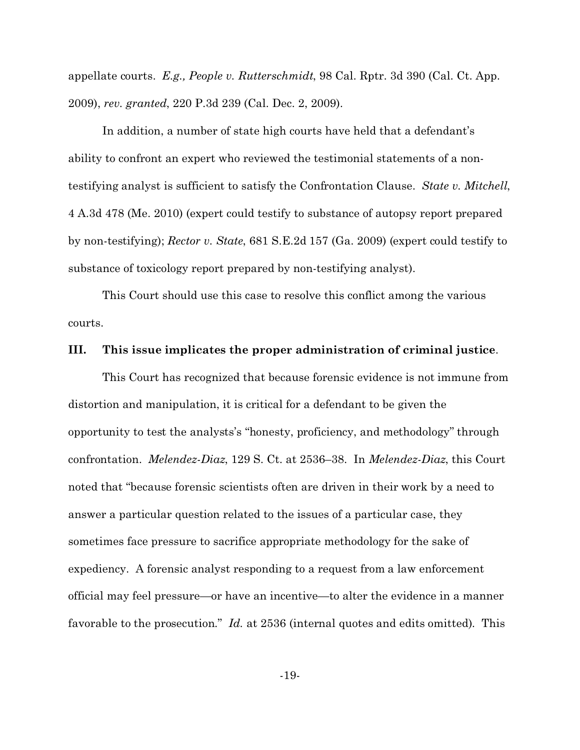appellate courts. *E.g., People v. Rutterschmidt*, 98 Cal. Rptr. 3d 390 (Cal. Ct. App. 2009), *rev. granted*, 220 P.3d 239 (Cal. Dec. 2, 2009).

In addition, a number of state high courts have held that a defendant's ability to confront an expert who reviewed the testimonial statements of a nontestifying analyst is sufficient to satisfy the Confrontation Clause. *State v. Mitchell*, 4 A.3d 478 (Me. 2010) (expert could testify to substance of autopsy report prepared by non-testifying); *Rector v. State*, 681 S.E.2d 157 (Ga. 2009) (expert could testify to substance of toxicology report prepared by non-testifying analyst).

This Court should use this case to resolve this conflict among the various courts.

#### **III. This issue implicates the proper administration of criminal justice**.

This Court has recognized that because forensic evidence is not immune from distortion and manipulation, it is critical for a defendant to be given the opportunity to test the analysts's "honesty, proficiency, and methodology" through confrontation. *Melendez-Diaz*, 129 S. Ct. at 2536–38. In *Melendez-Diaz*, this Court noted that "because forensic scientists often are driven in their work by a need to answer a particular question related to the issues of a particular case, they sometimes face pressure to sacrifice appropriate methodology for the sake of expediency. A forensic analyst responding to a request from a law enforcement official may feel pressure—or have an incentive—to alter the evidence in a manner favorable to the prosecution." *Id.* at 2536 (internal quotes and edits omitted). This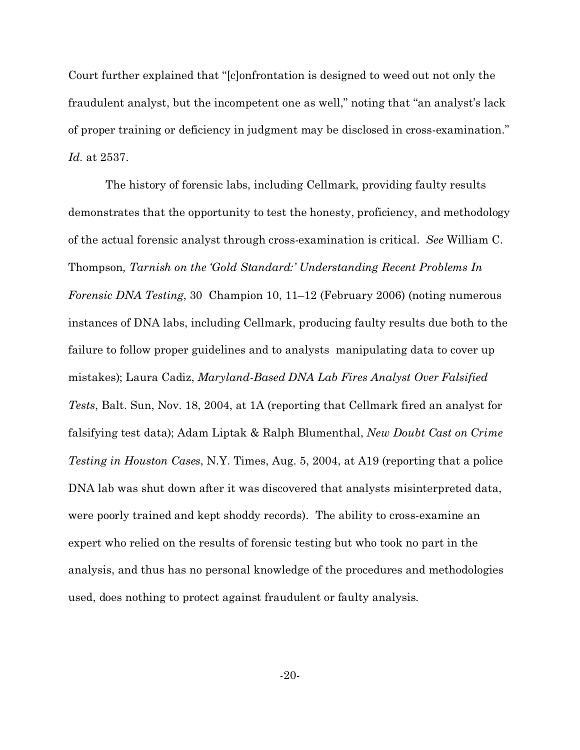Court further explained that "[c]onfrontation is designed to weed out not only the fraudulent analyst, but the incompetent one as well," noting that "an analyst's lack of proper training or deficiency in judgment may be disclosed in cross-examination." *Id.* at 2537.

 The history of forensic labs, including Cellmark, providing faulty results demonstrates that the opportunity to test the honesty, proficiency, and methodology of the actual forensic analyst through cross-examination is critical. *See* William C. Thompson*, Tarnish on the 'Gold Standard:' Understanding Recent Problems In Forensic DNA Testing*, 30 Champion 10, 11–12 (February 2006) (noting numerous instances of DNA labs, including Cellmark, producing faulty results due both to the failure to follow proper guidelines and to analysts manipulating data to cover up mistakes); Laura Cadiz, *Maryland-Based DNA Lab Fires Analyst Over Falsified Tests*, Balt. Sun, Nov. 18, 2004, at 1A (reporting that Cellmark fired an analyst for falsifying test data); Adam Liptak & Ralph Blumenthal, *New Doubt Cast on Crime Testing in Houston Cases*, N.Y. Times, Aug. 5, 2004, at A19 (reporting that a police DNA lab was shut down after it was discovered that analysts misinterpreted data, were poorly trained and kept shoddy records). The ability to cross-examine an expert who relied on the results of forensic testing but who took no part in the analysis, and thus has no personal knowledge of the procedures and methodologies used, does nothing to protect against fraudulent or faulty analysis.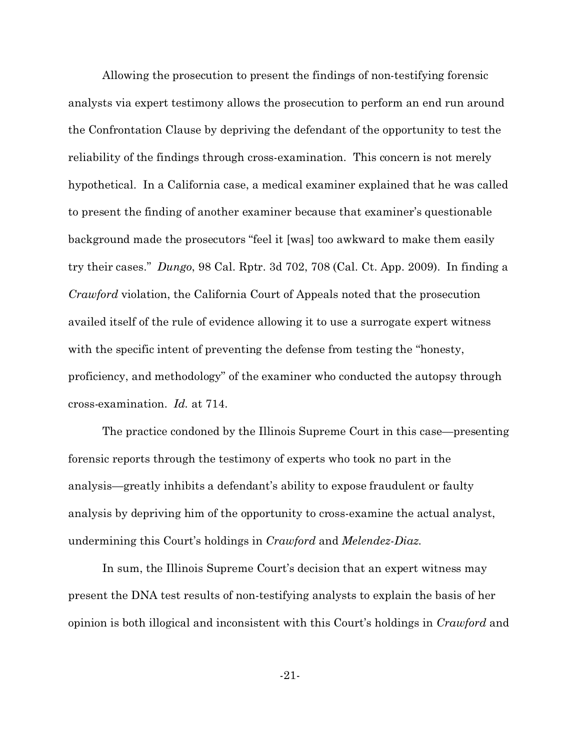Allowing the prosecution to present the findings of non-testifying forensic analysts via expert testimony allows the prosecution to perform an end run around the Confrontation Clause by depriving the defendant of the opportunity to test the reliability of the findings through cross-examination. This concern is not merely hypothetical. In a California case, a medical examiner explained that he was called to present the finding of another examiner because that examiner's questionable background made the prosecutors "feel it [was] too awkward to make them easily try their cases." *Dungo*, 98 Cal. Rptr. 3d 702, 708 (Cal. Ct. App. 2009). In finding a *Crawford* violation, the California Court of Appeals noted that the prosecution availed itself of the rule of evidence allowing it to use a surrogate expert witness with the specific intent of preventing the defense from testing the "honesty, proficiency, and methodology" of the examiner who conducted the autopsy through cross-examination. *Id.* at 714.

The practice condoned by the Illinois Supreme Court in this case—presenting forensic reports through the testimony of experts who took no part in the analysis—greatly inhibits a defendant's ability to expose fraudulent or faulty analysis by depriving him of the opportunity to cross-examine the actual analyst, undermining this Court's holdings in *Crawford* and *Melendez-Diaz*.

In sum, the Illinois Supreme Court's decision that an expert witness may present the DNA test results of non-testifying analysts to explain the basis of her opinion is both illogical and inconsistent with this Court's holdings in *Crawford* and

-21-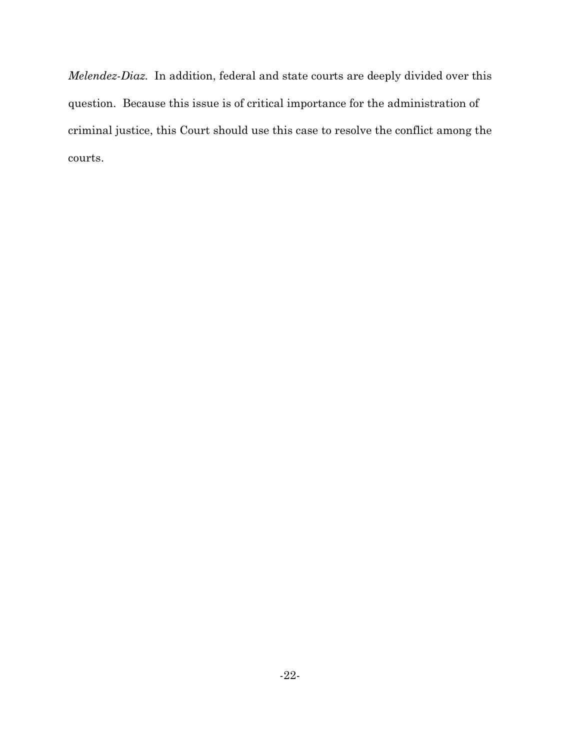*Melendez-Diaz*. In addition, federal and state courts are deeply divided over this question. Because this issue is of critical importance for the administration of criminal justice, this Court should use this case to resolve the conflict among the courts.